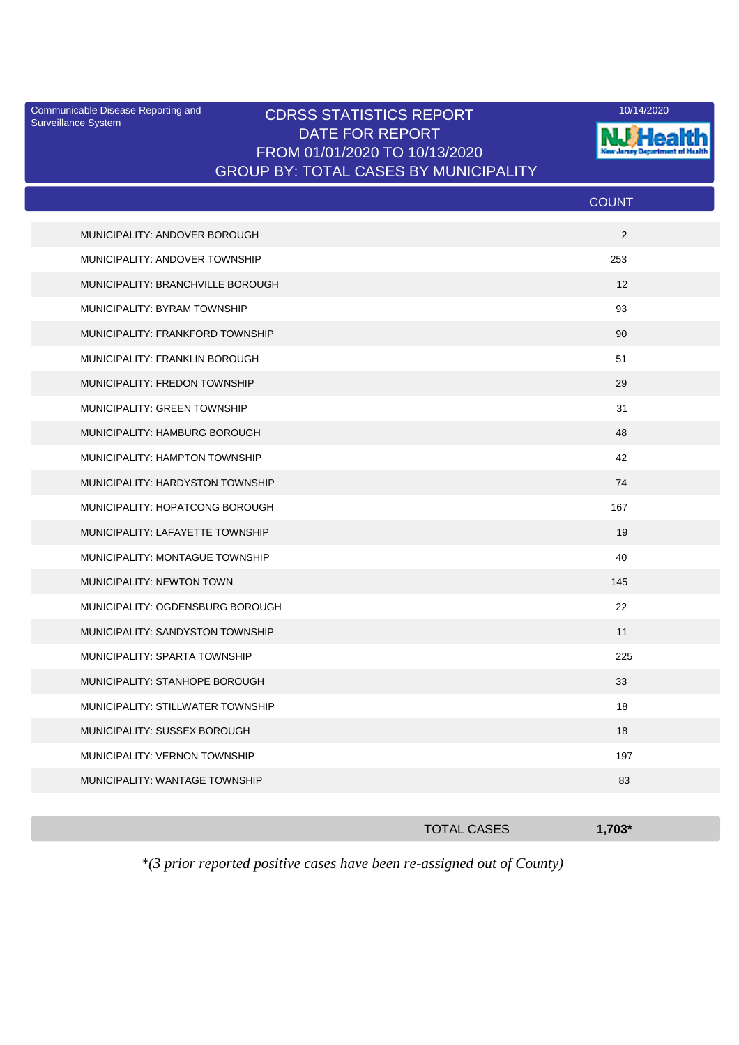Surveillance System

## Communicable Disease Reporting and CDRSS STATISTICS REPORT 10/14/2020<br>Surveillance System CDRSS STATISTICS REPORT DATE FOR REPORT FROM 01/01/2020 TO 10/13/2020 GROUP BY: TOTAL CASES BY MUNICIPALITY



|                                       | <b>COUNT</b> |
|---------------------------------------|--------------|
| MUNICIPALITY: ANDOVER BOROUGH         | 2            |
| MUNICIPALITY: ANDOVER TOWNSHIP        | 253          |
| MUNICIPALITY: BRANCHVILLE BOROUGH     | 12           |
| MUNICIPALITY: BYRAM TOWNSHIP          | 93           |
| MUNICIPALITY: FRANKFORD TOWNSHIP      | 90           |
| <b>MUNICIPALITY: FRANKLIN BOROUGH</b> | 51           |
| MUNICIPALITY: FREDON TOWNSHIP         | 29           |
| <b>MUNICIPALITY: GREEN TOWNSHIP</b>   | 31           |
| MUNICIPALITY: HAMBURG BOROUGH         | 48           |
| MUNICIPALITY: HAMPTON TOWNSHIP        | 42           |
| MUNICIPALITY: HARDYSTON TOWNSHIP      | 74           |
| MUNICIPALITY: HOPATCONG BOROUGH       | 167          |
| MUNICIPALITY: LAFAYETTE TOWNSHIP      | 19           |
| MUNICIPALITY: MONTAGUE TOWNSHIP       | 40           |
| MUNICIPALITY: NEWTON TOWN             | 145          |
| MUNICIPALITY: OGDENSBURG BOROUGH      | 22           |
| MUNICIPALITY: SANDYSTON TOWNSHIP      | 11           |
| MUNICIPALITY: SPARTA TOWNSHIP         | 225          |
| MUNICIPALITY: STANHOPE BOROUGH        | 33           |
| MUNICIPALITY: STILLWATER TOWNSHIP     | 18           |
| MUNICIPALITY: SUSSEX BOROUGH          | 18           |
| MUNICIPALITY: VERNON TOWNSHIP         | 197          |
| MUNICIPALITY: WANTAGE TOWNSHIP        | 83           |
|                                       |              |

| <b>TOTAL CASES</b> | $-1,703$ |
|--------------------|----------|
|                    |          |

*\*(3 prior reported positive cases have been re-assigned out of County)*